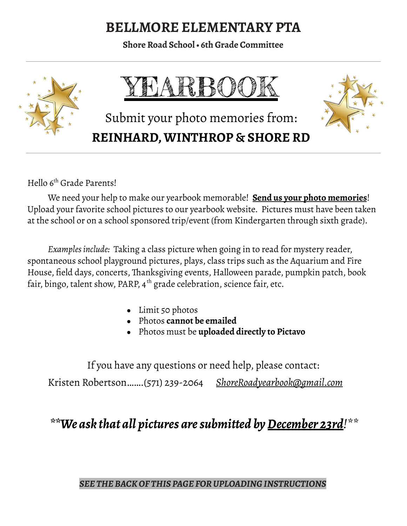# **BELLMORE ELEMENTARY PTA**

**Shore Road School• 6th Grade Committee**



Hello 6<sup>th</sup> Grade Parents!

We need your help to make our yearbook memorable! **Send us your photo memories**! Upload your favorite school pictures to our yearbook website. Pictures must have been taken at the school or on a school sponsored trip/event (from Kindergarten through sixth grade).

*Examplesinclude:* Taking a class picture when going in to read for mystery reader, spontaneous school playground pictures, plays, class trips such as the Aquarium and Fire House, field days, concerts, Thanksgiving events, Halloween parade, pumpkin patch, book fair, bingo, talent show, PARP, 4<sup>th</sup> grade celebration, science fair, etc.

- Limit 50 photos
- Photos **cannot be emailed**
- Photos must be **uploaded directly to Pictavo**

If you have any questions or need help, please contact: Kristen Robertson…….(571) 239-2064 *ShoreRoadyearbook@gmail.com*

*\*\*We ask that all pictures aresubmitted byDecember 23rd!\*\**

#### *SEE THEBACKOF THIS PAGE FORUPLOADINGINSTRUCTIONS*